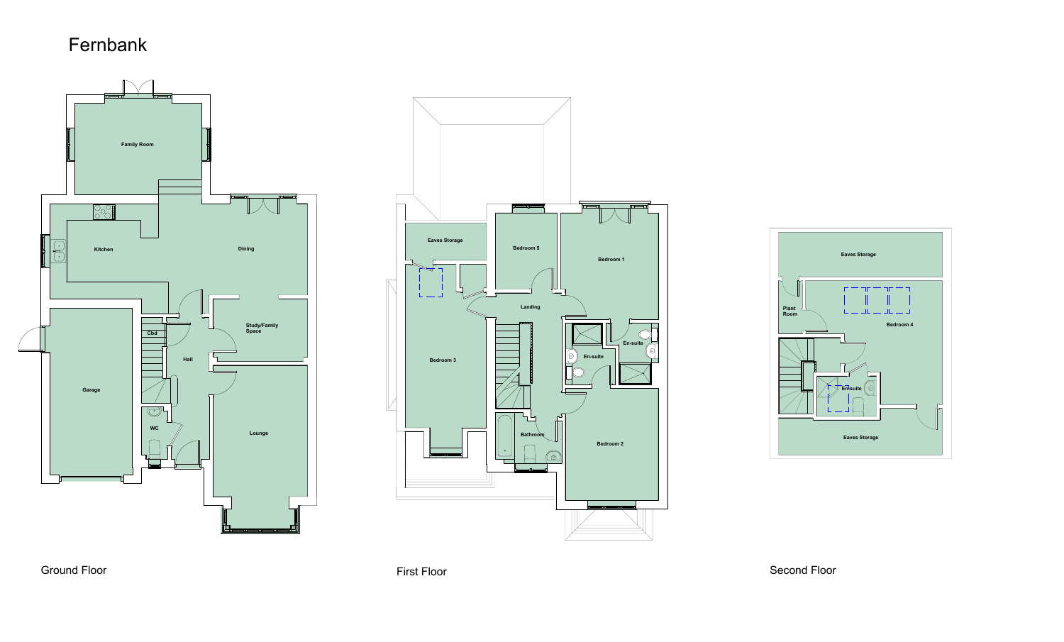

Ground Floor

First Floor Second Floor

## Fernbank





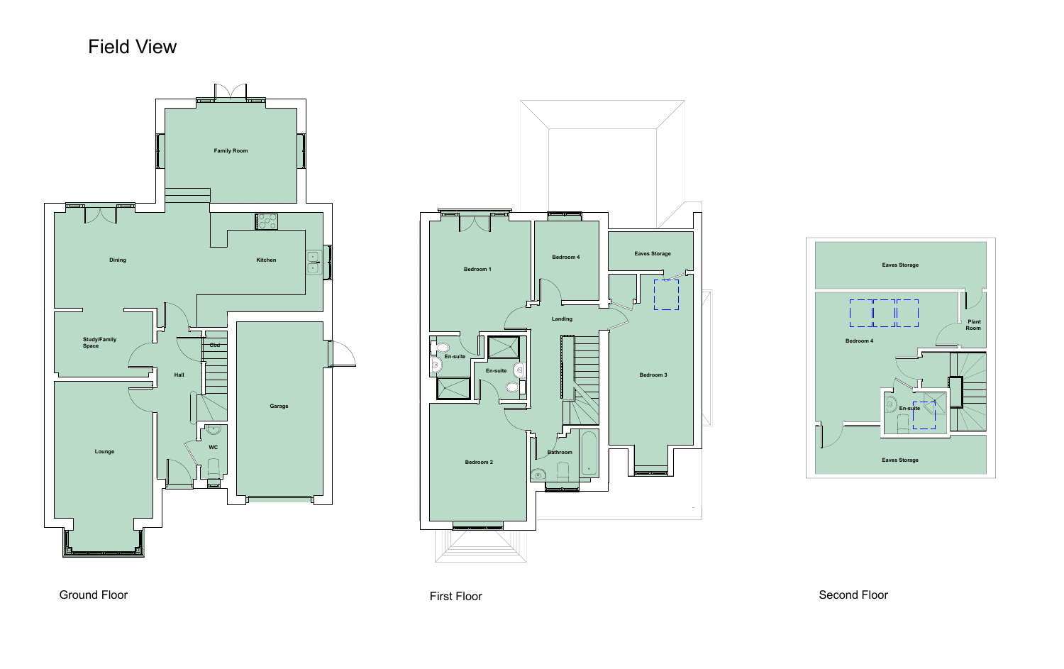

### Ground Floor

## Field View





### First Floor Second Floor